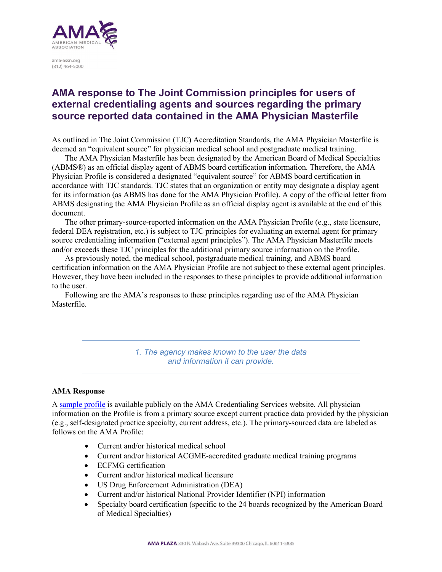

ama-assn.org  $(312)$  464-5000

# **AMA response to The Joint Commission principles for users of external credentialing agents and sources regarding the primary source reported data contained in the AMA Physician Masterfile**

As outlined in The Joint Commission (TJC) Accreditation Standards, the AMA Physician Masterfile is deemed an "equivalent source" for physician medical school and postgraduate medical training.

The AMA Physician Masterfile has been designated by the American Board of Medical Specialties (ABMS®) as an official display agent of ABMS board certification information. Therefore, the AMA Physician Profile is considered a designated "equivalent source" for ABMS board certification in accordance with TJC standards. TJC states that an organization or entity may designate a display agent for its information (as ABMS has done for the AMA Physician Profile). A copy of the official letter from ABMS designating the AMA Physician Profile as an official display agent is available at the end of this document.

The other primary-source-reported information on the AMA Physician Profile (e.g., state licensure, federal DEA registration, etc.) is subject to TJC principles for evaluating an external agent for primary source credentialing information ("external agent principles"). The AMA Physician Masterfile meets and/or exceeds these TJC principles for the additional primary source information on the Profile.

As previously noted, the medical school, postgraduate medical training, and ABMS board certification information on the AMA Physician Profile are not subject to these external agent principles. However, they have been included in the responses to these principles to provide additional information to the user.

Following are the AMA's responses to these principles regarding use of the AMA Physician Masterfile.

> *1. The agency makes known to the user the data and information it can provide.*

# **AMA Response**

A [sample profile](http://amacredentialingservices.org/credentialing/physician-profiles) is available publicly on the AMA Credentialing Services website. All physician information on the Profile is from a primary source except current practice data provided by the physician (e.g., self-designated practice specialty, current address, etc.). The primary-sourced data are labeled as follows on the AMA Profile:

- Current and/or historical medical school
- Current and/or historical ACGME-accredited graduate medical training programs
- ECFMG certification
- Current and/or historical medical licensure
- US Drug Enforcement Administration (DEA)
- Current and/or historical National Provider Identifier (NPI) information
- Specialty board certification (specific to the 24 boards recognized by the American Board of Medical Specialties)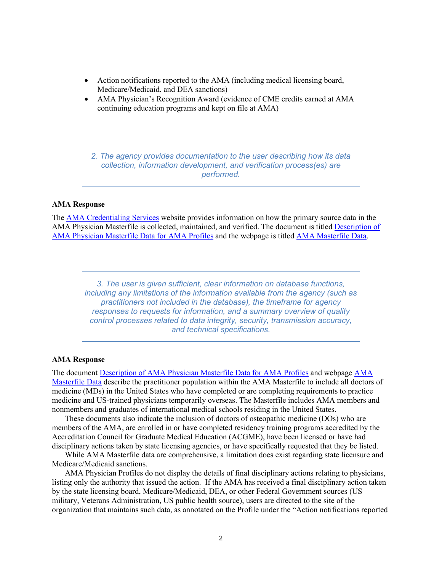- Action notifications reported to the AMA (including medical licensing board, Medicare/Medicaid, and DEA sanctions)
- AMA Physician's Recognition Award (evidence of CME credits earned at AMA continuing education programs and kept on file at AMA)

*2. The agency provides documentation to the user describing how its data collection, information development, and verification process(es) are performed.*

## **AMA Response**

The [AMA Credentialing Services](http://www.amacredentialingservices.org/) website provides information on how the primary source data in the AMA Physician Masterfile is collected, maintained, and verified. The document is titled [Description of](https://amacredentialingservices.org/sites/default/files/2021-03/description-of-masterfile-data-4-11-18.pdf)  [AMA Physician Masterfile Data for AMA Profiles](https://amacredentialingservices.org/sites/default/files/2021-03/description-of-masterfile-data-4-11-18.pdf) and the webpage is titled [AMA Masterfile Data.](http://amacredentialingservices.org/credentialing/masterfile-data)

*3. The user is given sufficient, clear information on database functions, including any limitations of the information available from the agency (such as practitioners not included in the database), the timeframe for agency responses to requests for information, and a summary overview of quality control processes related to data integrity, security, transmission accuracy, and technical specifications.*

#### **AMA Response**

The document [Description of AMA Physician Masterfile Data for AMA Profiles](https://amacredentialingservices.org/sites/default/files/2021-03/description-of-masterfile-data-4-11-18.pdf) and webpage [AMA](http://amacredentialingservices.org/credentialing/masterfile-data)  [Masterfile Data](http://amacredentialingservices.org/credentialing/masterfile-data) describe the practitioner population within the AMA Masterfile to include all doctors of medicine (MDs) in the United States who have completed or are completing requirements to practice medicine and US-trained physicians temporarily overseas. The Masterfile includes AMA members and nonmembers and graduates of international medical schools residing in the United States.

These documents also indicate the inclusion of doctors of osteopathic medicine (DOs) who are members of the AMA, are enrolled in or have completed residency training programs accredited by the Accreditation Council for Graduate Medical Education (ACGME), have been licensed or have had disciplinary actions taken by state licensing agencies, or have specifically requested that they be listed.

While AMA Masterfile data are comprehensive, a limitation does exist regarding state licensure and Medicare/Medicaid sanctions.

AMA Physician Profiles do not display the details of final disciplinary actions relating to physicians, listing only the authority that issued the action. If the AMA has received a final disciplinary action taken by the state licensing board, Medicare/Medicaid, DEA, or other Federal Government sources (US military, Veterans Administration, US public health source), users are directed to the site of the organization that maintains such data, as annotated on the Profile under the "Action notifications reported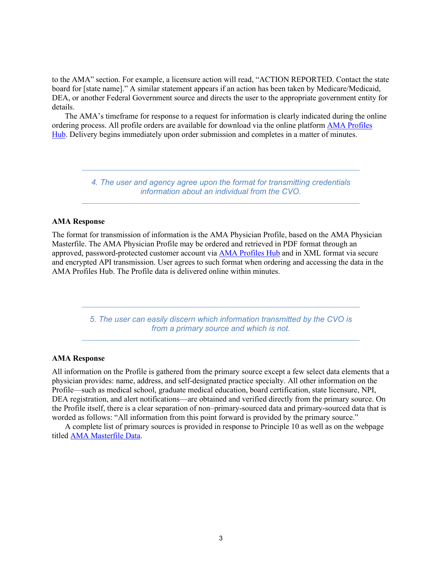to the AMA" section. For example, a licensure action will read, "ACTION REPORTED. Contact the state board for [state name]." A similar statement appears if an action has been taken by Medicare/Medicaid, DEA, or another Federal Government source and directs the user to the appropriate government entity for details.

The AMA's timeframe for response to a request for information is clearly indicated during the online ordering process. All profile orders are available for download via the online platform [AMA Profiles](http://www.amaprofileshub.org/)  [Hub.](http://www.amaprofileshub.org/) Delivery begins immediately upon order submission and completes in a matter of minutes.

> *4. The user and agency agree upon the format for transmitting credentials information about an individual from the CVO.*

#### **AMA Response**

The format for transmission of information is the AMA Physician Profile, based on the AMA Physician Masterfile. The AMA Physician Profile may be ordered and retrieved in PDF format through an approved, password-protected customer account via [AMA Profiles Hub](http://www.amaprofileshub.org/) and in XML format via secure and encrypted API transmission. User agrees to such format when ordering and accessing the data in the AMA Profiles Hub. The Profile data is delivered online within minutes.

> *5. The user can easily discern which information transmitted by the CVO is from a primary source and which is not.*

#### **AMA Response**

All information on the Profile is gathered from the primary source except a few select data elements that a physician provides: name, address, and self-designated practice specialty. All other information on the Profile—such as medical school, graduate medical education, board certification, state licensure, NPI, DEA registration, and alert notifications—are obtained and verified directly from the primary source. On the Profile itself, there is a clear separation of non–primary-sourced data and primary-sourced data that is worded as follows: "All information from this point forward is provided by the primary source."

A complete list of primary sources is provided in response to Principle 10 as well as on the webpage titled [AMA Masterfile Data.](http://amacredentialingservices.org/credentialing/masterfile-data)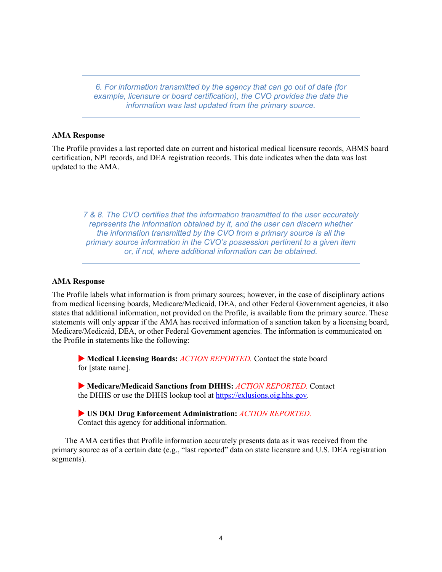*6. For information transmitted by the agency that can go out of date (for example, licensure or board certification), the CVO provides the date the information was last updated from the primary source.*

## **AMA Response**

The Profile provides a last reported date on current and historical medical licensure records, ABMS board certification, NPI records, and DEA registration records. This date indicates when the data was last updated to the AMA.

*7 & 8. The CVO certifies that the information transmitted to the user accurately represents the information obtained by it, and the user can discern whether the information transmitted by the CVO from a primary source is all the primary source information in the CVO's possession pertinent to a given item or, if not, where additional information can be obtained.*

# **AMA Response**

The Profile labels what information is from primary sources; however, in the case of disciplinary actions from medical licensing boards, Medicare/Medicaid, DEA, and other Federal Government agencies, it also states that additional information, not provided on the Profile, is available from the primary source. These statements will only appear if the AMA has received information of a sanction taken by a licensing board, Medicare/Medicaid, DEA, or other Federal Government agencies. The information is communicated on the Profile in statements like the following:

 **Medical Licensing Boards:** *ACTION REPORTED.* Contact the state board for [state name].

 **Medicare/Medicaid Sanctions from DHHS:** *ACTION REPORTED.* Contact the DHHS or use the DHHS lookup tool at [https://exlusions.oig.hhs.gov.](https://exlusions.oig.hhs.gov/)

 **US DOJ Drug Enforcement Administration:** *ACTION REPORTED.* Contact this agency for additional information.

The AMA certifies that Profile information accurately presents data as it was received from the primary source as of a certain date (e.g., "last reported" data on state licensure and U.S. DEA registration segments).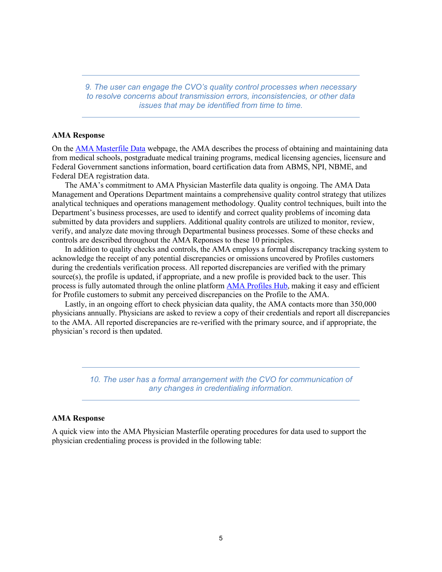*9. The user can engage the CVO's quality control processes when necessary to resolve concerns about transmission errors, inconsistencies, or other data issues that may be identified from time to time.*

#### **AMA Response**

On the [AMA Masterfile Data](http://amacredentialingservices.org/credentialing/masterfile-data) webpage, the AMA describes the process of obtaining and maintaining data from medical schools, postgraduate medical training programs, medical licensing agencies, licensure and Federal Government sanctions information, board certification data from ABMS, NPI, NBME, and Federal DEA registration data.

The AMA's commitment to AMA Physician Masterfile data quality is ongoing. The AMA Data Management and Operations Department maintains a comprehensive quality control strategy that utilizes analytical techniques and operations management methodology. Quality control techniques, built into the Department's business processes, are used to identify and correct quality problems of incoming data submitted by data providers and suppliers. Additional quality controls are utilized to monitor, review, verify, and analyze date moving through Departmental business processes. Some of these checks and controls are described throughout the AMA Reponses to these 10 principles.

In addition to quality checks and controls, the AMA employs a formal discrepancy tracking system to acknowledge the receipt of any potential discrepancies or omissions uncovered by Profiles customers during the credentials verification process. All reported discrepancies are verified with the primary source(s), the profile is updated, if appropriate, and a new profile is provided back to the user. This process is fully automated through the online platform [AMA Profiles Hub,](http://www.amaprofileshub.org/) making it easy and efficient for Profile customers to submit any perceived discrepancies on the Profile to the AMA.

Lastly, in an ongoing effort to check physician data quality, the AMA contacts more than 350,000 physicians annually. Physicians are asked to review a copy of their credentials and report all discrepancies to the AMA. All reported discrepancies are re-verified with the primary source, and if appropriate, the physician's record is then updated.

> *10. The user has a formal arrangement with the CVO for communication of any changes in credentialing information.*

## **AMA Response**

A quick view into the AMA Physician Masterfile operating procedures for data used to support the physician credentialing process is provided in the following table: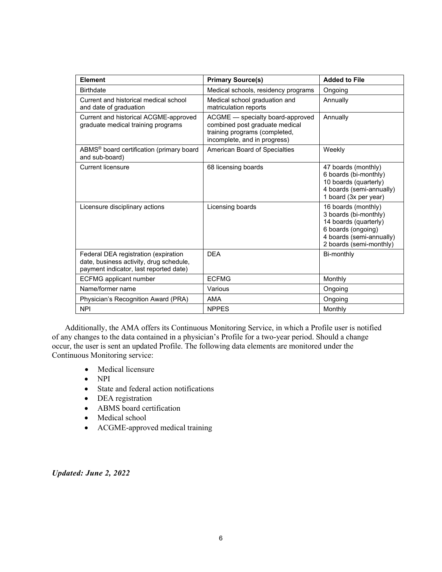| <b>Element</b>                                                                                                            | <b>Primary Source(s)</b>                                                                                                            | <b>Added to File</b>                                                                                                                               |
|---------------------------------------------------------------------------------------------------------------------------|-------------------------------------------------------------------------------------------------------------------------------------|----------------------------------------------------------------------------------------------------------------------------------------------------|
| <b>Birthdate</b>                                                                                                          | Medical schools, residency programs                                                                                                 | Ongoing                                                                                                                                            |
| Current and historical medical school<br>and date of graduation                                                           | Medical school graduation and<br>matriculation reports                                                                              | Annually                                                                                                                                           |
| Current and historical ACGME-approved<br>graduate medical training programs                                               | ACGME - specialty board-approved<br>combined post graduate medical<br>training programs (completed,<br>incomplete, and in progress) | Annually                                                                                                                                           |
| ABMS <sup>®</sup> board certification (primary board<br>and sub-board)                                                    | American Board of Specialties                                                                                                       | Weekly                                                                                                                                             |
| <b>Current licensure</b>                                                                                                  | 68 licensing boards                                                                                                                 | 47 boards (monthly)<br>6 boards (bi-monthly)<br>10 boards (quarterly)<br>4 boards (semi-annually)<br>1 board (3x per year)                         |
| Licensure disciplinary actions                                                                                            | Licensing boards                                                                                                                    | 16 boards (monthly)<br>3 boards (bi-monthly)<br>14 boards (quarterly)<br>6 boards (ongoing)<br>4 boards (semi-annually)<br>2 boards (semi-monthly) |
| Federal DEA registration (expiration<br>date, business activity, drug schedule,<br>payment indicator, last reported date) | <b>DEA</b>                                                                                                                          | Bi-monthly                                                                                                                                         |
| <b>ECFMG</b> applicant number                                                                                             | <b>ECFMG</b>                                                                                                                        | Monthly                                                                                                                                            |
| Name/former name                                                                                                          | Various                                                                                                                             | Ongoing                                                                                                                                            |
| Physician's Recognition Award (PRA)                                                                                       | <b>AMA</b>                                                                                                                          | Ongoing                                                                                                                                            |
| <b>NPI</b>                                                                                                                | <b>NPPES</b>                                                                                                                        | Monthly                                                                                                                                            |

Additionally, the AMA offers its Continuous Monitoring Service, in which a Profile user is notified of any changes to the data contained in a physician's Profile for a two-year period. Should a change occur, the user is sent an updated Profile. The following data elements are monitored under the Continuous Monitoring service:

- Medical licensure
- NPI
- State and federal action notifications
- DEA registration
- ABMS board certification
- Medical school
- ACGME-approved medical training

*Updated: June 2, 2022*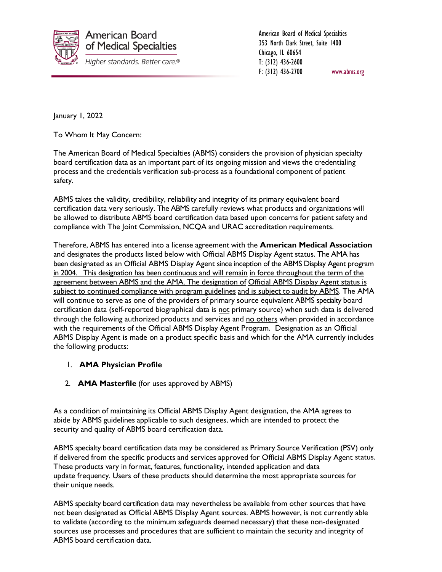

American Board of Medical Specialties 353 North Clark Street, Suite 1400 Chicago, IL 60654 T: (312) 436-2600 F: (312) 436-2700 www.abms.org

January 1, 2022

To Whom It May Concern:

The American Board of Medical Specialties (ABMS) considers the provision of physician specialty board certification data as an important part of its ongoing mission and views the credentialing process and the credentials verification sub-process as a foundational component of patient safety.

ABMS takes the validity, credibility, reliability and integrity of its primary equivalent board certification data very seriously. The ABMS carefully reviews what products and organizations will be allowed to distribute ABMS board certification data based upon concerns for patient safety and compliance with The Joint Commission, NCQA and URAC accreditation requirements.

Therefore, ABMS has entered into a license agreement with the **American Medical Association** and designates the products listed below with Official ABMS Display Agent status. The AMA has been designated as an Official ABMS Display Agent since inception of the ABMS Display Agent program in 2004. This designation has been continuous and will remain in force throughout the term of the agreement between ABMS and the AMA. The designation of Official ABMS Display Agent status is subject to continued compliance with program guidelines and is subject to audit by ABMS. The AMA will continue to serve as one of the providers of primary source equivalent ABMS specialty board certification data (self-reported biographical data is not primary source) when such data is delivered through the following authorized products and services and no others when provided in accordance with the requirements of the Official ABMS Display Agent Program. Designation as an Official ABMS Display Agent is made on a product specific basis and which for the AMA currently includes the following products:

# 1. **AMA Physician Profile**

2. **AMA Masterfile** (for uses approved by ABMS)

As a condition of maintaining its Official ABMS Display Agent designation, the AMA agrees to abide by ABMS guidelines applicable to such designees, which are intended to protect the security and quality of ABMS board certification data.

ABMS specialty board certification data may be considered as Primary Source Verification (PSV) only if delivered from the specific products and services approved for Official ABMS Display Agent status. These products vary in format, features, functionality, intended application and data update frequency. Users of these products should determine the most appropriate sources for their unique needs.

ABMS specialty board certification data may nevertheless be available from other sources that have not been designated as Official ABMS Display Agent sources. ABMS however, is not currently able to validate (according to the minimum safeguards deemed necessary) that these non-designated sources use processes and procedures that are sufficient to maintain the security and integrity of ABMS board certification data.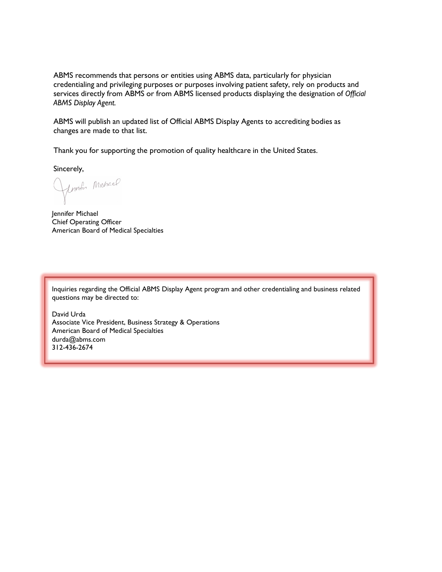ABMS recommends that persons or entities using ABMS data, particularly for physician credentialing and privileging purposes or purposes involving patient safety, rely on products and services directly from ABMS or from ABMS licensed products displaying the designation of *Official ABMS Display Agent.*

ABMS will publish an updated list of Official ABMS Display Agents to accrediting bodies as changes are made to that list.

Thank you for supporting the promotion of quality healthcare in the United States.

Sincerely,

Union Michael

Jennifer Michael Chief Operating Officer American Board of Medical Specialties

Inquiries regarding the Official ABMS Display Agent program and other credentialing and business related questions may be directed to:

David Urda Associate Vice President, Business Strategy & Operations American Board of Medical Specialties durda@abms.com 312-436-2674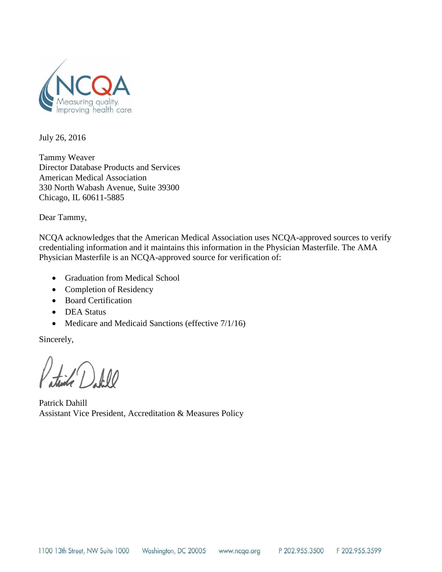

July 26, 2016

Tammy Weaver Director Database Products and Services American Medical Association 330 North Wabash Avenue, Suite 39300 Chicago, IL 60611-5885

Dear Tammy,

NCQA acknowledges that the American Medical Association uses NCQA-approved sources to verify credentialing information and it maintains this information in the Physician Masterfile. The AMA Physician Masterfile is an NCQA-approved source for verification of:

- Graduation from Medical School
- Completion of Residency
- Board Certification
- DEA Status
- Medicare and Medicaid Sanctions (effective  $7/1/16$ )

Sincerely,

 $\frac{1}{2}$ (1)

Patrick Dahill Assistant Vice President, Accreditation & Measures Policy